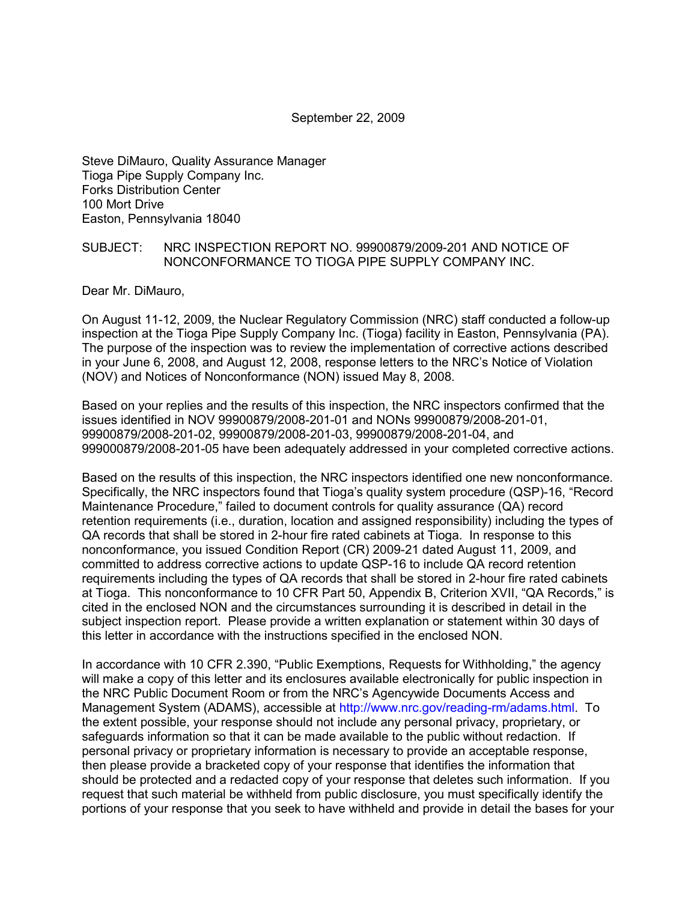#### September 22, 2009

Steve DiMauro, Quality Assurance Manager Tioga Pipe Supply Company Inc. Forks Distribution Center 100 Mort Drive Easton, Pennsylvania 18040

#### SUBJECT: NRC INSPECTION REPORT NO. 99900879/2009-201 AND NOTICE OF NONCONFORMANCE TO TIOGA PIPE SUPPLY COMPANY INC.

Dear Mr. DiMauro,

On August 11-12, 2009, the Nuclear Regulatory Commission (NRC) staff conducted a follow-up inspection at the Tioga Pipe Supply Company Inc. (Tioga) facility in Easton, Pennsylvania (PA). The purpose of the inspection was to review the implementation of corrective actions described in your June 6, 2008, and August 12, 2008, response letters to the NRC's Notice of Violation (NOV) and Notices of Nonconformance (NON) issued May 8, 2008.

Based on your replies and the results of this inspection, the NRC inspectors confirmed that the issues identified in NOV 99900879/2008-201-01 and NONs 99900879/2008-201-01, 99900879/2008-201-02, 99900879/2008-201-03, 99900879/2008-201-04, and 999000879/2008-201-05 have been adequately addressed in your completed corrective actions.

Based on the results of this inspection, the NRC inspectors identified one new nonconformance. Specifically, the NRC inspectors found that Tioga's quality system procedure (QSP)-16, "Record Maintenance Procedure," failed to document controls for quality assurance (QA) record retention requirements (i.e., duration, location and assigned responsibility) including the types of QA records that shall be stored in 2-hour fire rated cabinets at Tioga. In response to this nonconformance, you issued Condition Report (CR) 2009-21 dated August 11, 2009, and committed to address corrective actions to update QSP-16 to include QA record retention requirements including the types of QA records that shall be stored in 2-hour fire rated cabinets at Tioga. This nonconformance to 10 CFR Part 50, Appendix B, Criterion XVII, "QA Records," is cited in the enclosed NON and the circumstances surrounding it is described in detail in the subject inspection report. Please provide a written explanation or statement within 30 days of this letter in accordance with the instructions specified in the enclosed NON.

In accordance with 10 CFR 2.390, "Public Exemptions, Requests for Withholding," the agency will make a copy of this letter and its enclosures available electronically for public inspection in the NRC Public Document Room or from the NRC's Agencywide Documents Access and Management System (ADAMS), accessible at http://www.nrc.gov/reading-rm/adams.html. To the extent possible, your response should not include any personal privacy, proprietary, or safeguards information so that it can be made available to the public without redaction. If personal privacy or proprietary information is necessary to provide an acceptable response, then please provide a bracketed copy of your response that identifies the information that should be protected and a redacted copy of your response that deletes such information. If you request that such material be withheld from public disclosure, you must specifically identify the portions of your response that you seek to have withheld and provide in detail the bases for your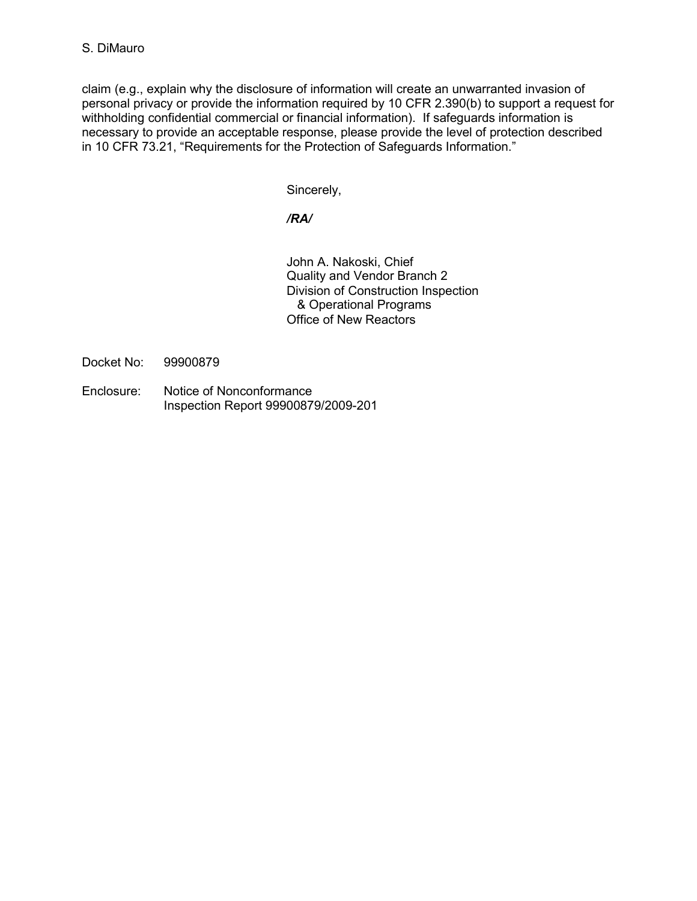claim (e.g., explain why the disclosure of information will create an unwarranted invasion of personal privacy or provide the information required by 10 CFR 2.390(b) to support a request for withholding confidential commercial or financial information). If safeguards information is necessary to provide an acceptable response, please provide the level of protection described in 10 CFR 73.21, "Requirements for the Protection of Safeguards Information."

Sincerely,

*/RA/* 

John A. Nakoski, Chief Quality and Vendor Branch 2 Division of Construction Inspection & Operational Programs Office of New Reactors

Docket No: 99900879

Enclosure: Notice of Nonconformance Inspection Report 99900879/2009-201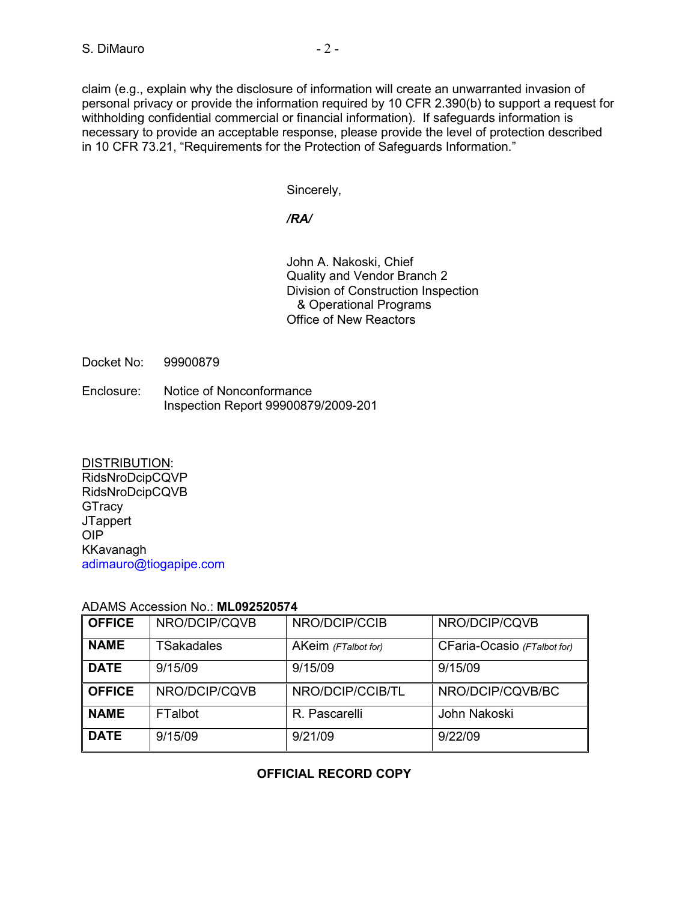claim (e.g., explain why the disclosure of information will create an unwarranted invasion of personal privacy or provide the information required by 10 CFR 2.390(b) to support a request for withholding confidential commercial or financial information). If safeguards information is necessary to provide an acceptable response, please provide the level of protection described in 10 CFR 73.21, "Requirements for the Protection of Safeguards Information."

Sincerely,

## */RA/*

John A. Nakoski, Chief Quality and Vendor Branch 2 Division of Construction Inspection & Operational Programs Office of New Reactors

Docket No: 99900879

Enclosure: Notice of Nonconformance Inspection Report 99900879/2009-201

DISTRIBUTION: RidsNroDcipCQVP RidsNroDcipCQVB **GTracy JTappert** OIP KKavanagh adimauro@tiogapipe.com

| <b>OFFICE</b> | NRO/DCIP/CQVB     | NRO/DCIP/CCIB       | NRO/DCIP/CQVB               |  |  |  |
|---------------|-------------------|---------------------|-----------------------------|--|--|--|
| <b>NAME</b>   | <b>TSakadales</b> | AKeim (FTalbot for) | CFaria-Ocasio (FTalbot for) |  |  |  |
| <b>DATE</b>   | 9/15/09           | 9/15/09             | 9/15/09                     |  |  |  |
| <b>OFFICE</b> | NRO/DCIP/CQVB     | NRO/DCIP/CCIB/TL    | NRO/DCIP/CQVB/BC            |  |  |  |
| <b>NAME</b>   | <b>FTalbot</b>    | R. Pascarelli       | John Nakoski                |  |  |  |
| <b>DATE</b>   | 9/15/09           | 9/21/09             | 9/22/09                     |  |  |  |

## ADAMS Accession No.: **ML092520574**

## **OFFICIAL RECORD COPY**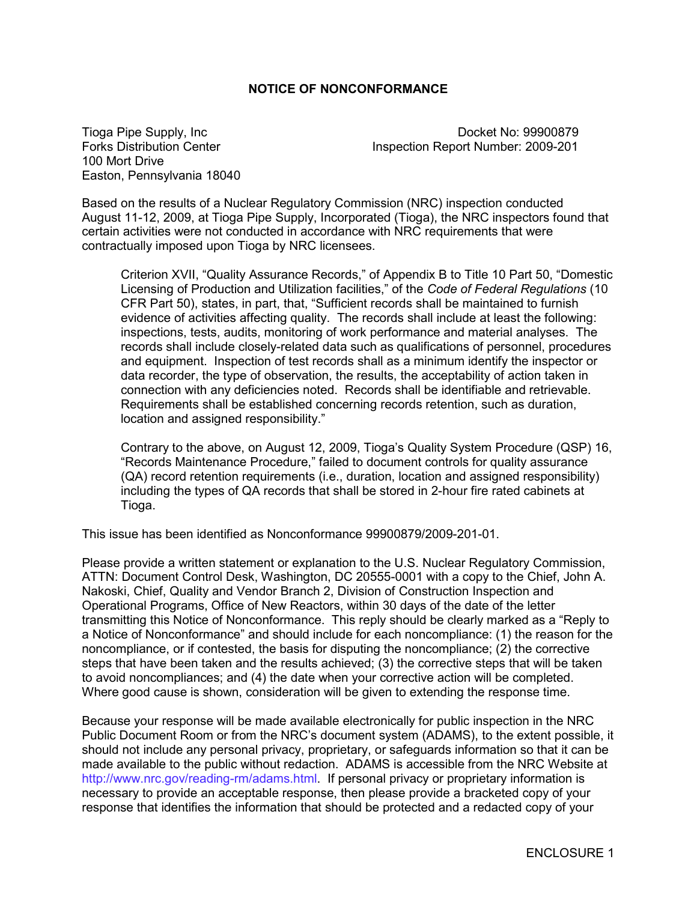#### **NOTICE OF NONCONFORMANCE**

100 Mort Drive Easton, Pennsylvania 18040

Tioga Pipe Supply, Inc **Docket No: 99900879** Forks Distribution Center **Inspection Report Number: 2009-201** 

Based on the results of a Nuclear Regulatory Commission (NRC) inspection conducted August 11-12, 2009, at Tioga Pipe Supply, Incorporated (Tioga), the NRC inspectors found that certain activities were not conducted in accordance with NRC requirements that were contractually imposed upon Tioga by NRC licensees.

Criterion XVII, "Quality Assurance Records," of Appendix B to Title 10 Part 50, "Domestic Licensing of Production and Utilization facilities," of the *Code of Federal Regulations* (10 CFR Part 50), states, in part, that, "Sufficient records shall be maintained to furnish evidence of activities affecting quality. The records shall include at least the following: inspections, tests, audits, monitoring of work performance and material analyses. The records shall include closely-related data such as qualifications of personnel, procedures and equipment. Inspection of test records shall as a minimum identify the inspector or data recorder, the type of observation, the results, the acceptability of action taken in connection with any deficiencies noted. Records shall be identifiable and retrievable. Requirements shall be established concerning records retention, such as duration, location and assigned responsibility."

Contrary to the above, on August 12, 2009, Tioga's Quality System Procedure (QSP) 16, "Records Maintenance Procedure," failed to document controls for quality assurance (QA) record retention requirements (i.e., duration, location and assigned responsibility) including the types of QA records that shall be stored in 2-hour fire rated cabinets at Tioga.

This issue has been identified as Nonconformance 99900879/2009-201-01.

Please provide a written statement or explanation to the U.S. Nuclear Regulatory Commission, ATTN: Document Control Desk, Washington, DC 20555-0001 with a copy to the Chief, John A. Nakoski, Chief, Quality and Vendor Branch 2, Division of Construction Inspection and Operational Programs, Office of New Reactors, within 30 days of the date of the letter transmitting this Notice of Nonconformance. This reply should be clearly marked as a "Reply to a Notice of Nonconformance" and should include for each noncompliance: (1) the reason for the noncompliance, or if contested, the basis for disputing the noncompliance; (2) the corrective steps that have been taken and the results achieved; (3) the corrective steps that will be taken to avoid noncompliances; and (4) the date when your corrective action will be completed. Where good cause is shown, consideration will be given to extending the response time.

Because your response will be made available electronically for public inspection in the NRC Public Document Room or from the NRC's document system (ADAMS), to the extent possible, it should not include any personal privacy, proprietary, or safeguards information so that it can be made available to the public without redaction. ADAMS is accessible from the NRC Website at http://www.nrc.gov/reading-rm/adams.html. If personal privacy or proprietary information is necessary to provide an acceptable response, then please provide a bracketed copy of your response that identifies the information that should be protected and a redacted copy of your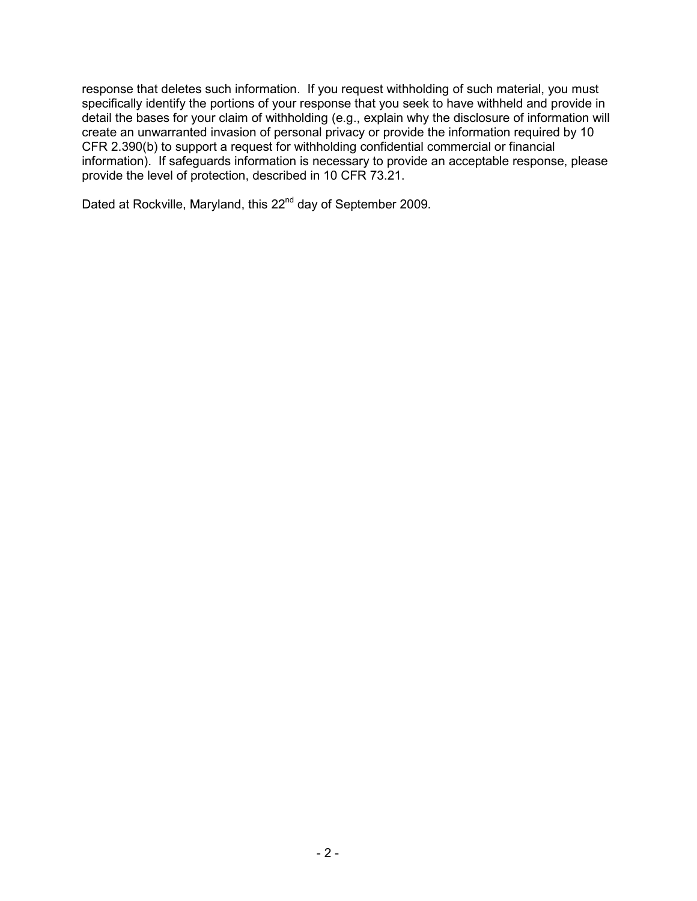response that deletes such information. If you request withholding of such material, you must specifically identify the portions of your response that you seek to have withheld and provide in detail the bases for your claim of withholding (e.g., explain why the disclosure of information will create an unwarranted invasion of personal privacy or provide the information required by 10 CFR 2.390(b) to support a request for withholding confidential commercial or financial information). If safeguards information is necessary to provide an acceptable response, please provide the level of protection, described in 10 CFR 73.21.

Dated at Rockville, Maryland, this 22<sup>nd</sup> day of September 2009.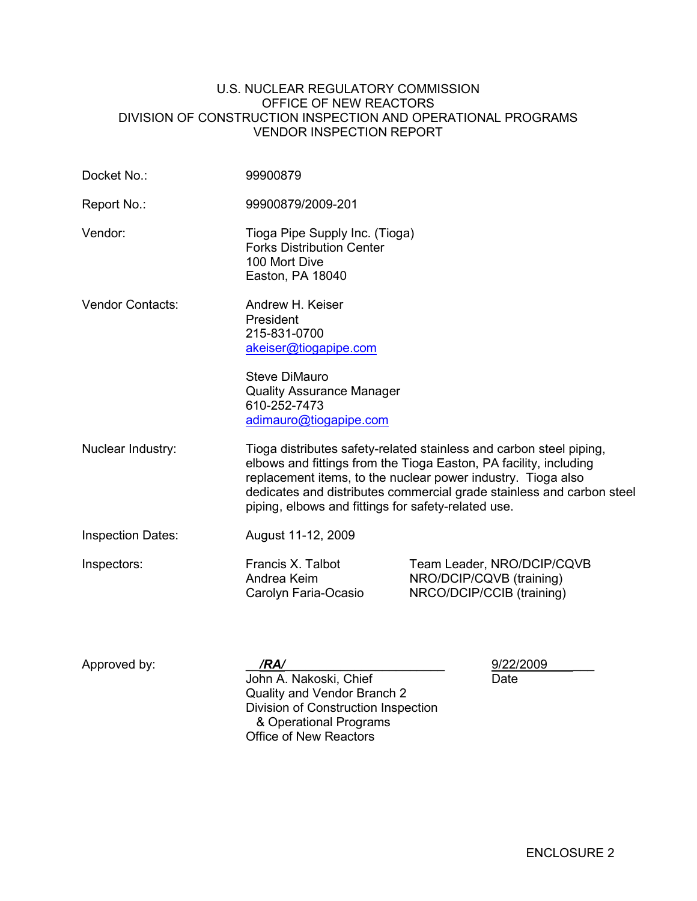#### U.S. NUCLEAR REGULATORY COMMISSION OFFICE OF NEW REACTORS DIVISION OF CONSTRUCTION INSPECTION AND OPERATIONAL PROGRAMS VENDOR INSPECTION REPORT

| Docket No.:              | 99900879                                                                                                                                                                     |                                                                                                                                                                                                                                                                                                                                          |  |  |
|--------------------------|------------------------------------------------------------------------------------------------------------------------------------------------------------------------------|------------------------------------------------------------------------------------------------------------------------------------------------------------------------------------------------------------------------------------------------------------------------------------------------------------------------------------------|--|--|
| Report No.:              | 99900879/2009-201                                                                                                                                                            |                                                                                                                                                                                                                                                                                                                                          |  |  |
| Vendor:                  | Tioga Pipe Supply Inc. (Tioga)<br><b>Forks Distribution Center</b><br>100 Mort Dive<br>Easton, PA 18040                                                                      |                                                                                                                                                                                                                                                                                                                                          |  |  |
| <b>Vendor Contacts:</b>  | Andrew H. Keiser<br>President<br>215-831-0700<br>akeiser@tiogapipe.com<br><b>Steve DiMauro</b><br><b>Quality Assurance Manager</b><br>610-252-7473<br>adimauro@tiogapipe.com |                                                                                                                                                                                                                                                                                                                                          |  |  |
| Nuclear Industry:        |                                                                                                                                                                              | Tioga distributes safety-related stainless and carbon steel piping,<br>elbows and fittings from the Tioga Easton, PA facility, including<br>replacement items, to the nuclear power industry. Tioga also<br>dedicates and distributes commercial grade stainless and carbon steel<br>piping, elbows and fittings for safety-related use. |  |  |
| <b>Inspection Dates:</b> | August 11-12, 2009                                                                                                                                                           |                                                                                                                                                                                                                                                                                                                                          |  |  |
| Inspectors:              | Francis X. Talbot<br>Andrea Keim<br>Carolyn Faria-Ocasio                                                                                                                     | Team Leader, NRO/DCIP/CQVB<br>NRO/DCIP/CQVB (training)<br>NRCO/DCIP/CCIB (training)                                                                                                                                                                                                                                                      |  |  |
| Approved by:             | /RA/<br>John A. Nakoski, Chief<br>Quality and Vendor Branch 2<br>Division of Construction Inspection<br>& Operational Programs<br><b>Office of New Reactors</b>              | 9/22/2009<br>Date                                                                                                                                                                                                                                                                                                                        |  |  |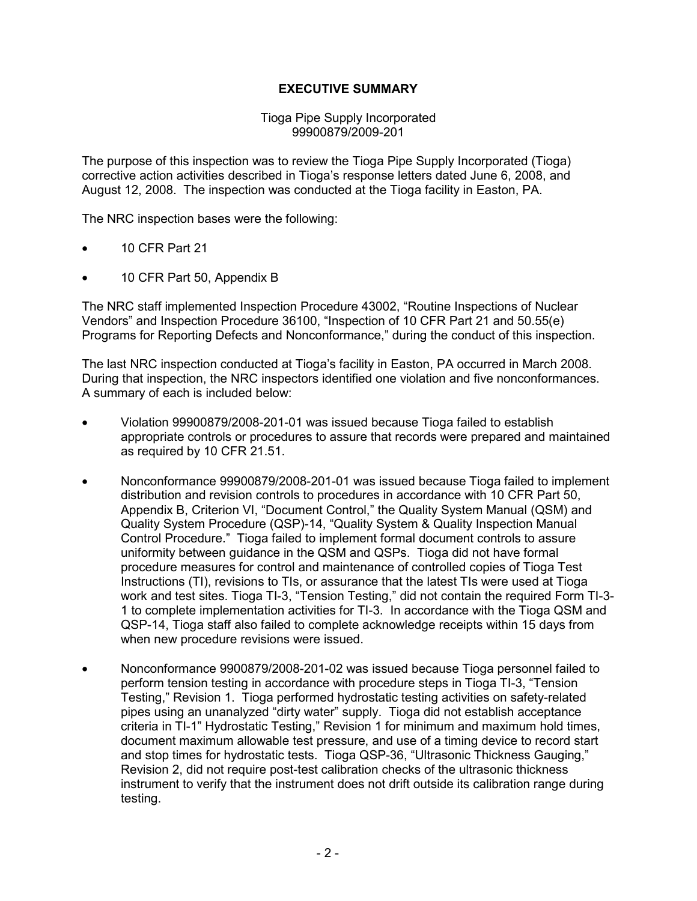## **EXECUTIVE SUMMARY**

#### Tioga Pipe Supply Incorporated 99900879/2009-201

The purpose of this inspection was to review the Tioga Pipe Supply Incorporated (Tioga) corrective action activities described in Tioga's response letters dated June 6, 2008, and August 12, 2008. The inspection was conducted at the Tioga facility in Easton, PA.

The NRC inspection bases were the following:

- 10 CFR Part 21
- 10 CFR Part 50, Appendix B

The NRC staff implemented Inspection Procedure 43002, "Routine Inspections of Nuclear Vendors" and Inspection Procedure 36100, "Inspection of 10 CFR Part 21 and 50.55(e) Programs for Reporting Defects and Nonconformance," during the conduct of this inspection.

The last NRC inspection conducted at Tioga's facility in Easton, PA occurred in March 2008. During that inspection, the NRC inspectors identified one violation and five nonconformances. A summary of each is included below:

- Violation 99900879/2008-201-01 was issued because Tioga failed to establish appropriate controls or procedures to assure that records were prepared and maintained as required by 10 CFR 21.51.
- Nonconformance 99900879/2008-201-01 was issued because Tioga failed to implement distribution and revision controls to procedures in accordance with 10 CFR Part 50, Appendix B, Criterion VI, "Document Control," the Quality System Manual (QSM) and Quality System Procedure (QSP)-14, "Quality System & Quality Inspection Manual Control Procedure." Tioga failed to implement formal document controls to assure uniformity between guidance in the QSM and QSPs. Tioga did not have formal procedure measures for control and maintenance of controlled copies of Tioga Test Instructions (TI), revisions to TIs, or assurance that the latest TIs were used at Tioga work and test sites. Tioga TI-3, "Tension Testing," did not contain the required Form TI-3- 1 to complete implementation activities for TI-3. In accordance with the Tioga QSM and QSP-14, Tioga staff also failed to complete acknowledge receipts within 15 days from when new procedure revisions were issued.
- Nonconformance 9900879/2008-201-02 was issued because Tioga personnel failed to perform tension testing in accordance with procedure steps in Tioga TI-3, "Tension Testing," Revision 1. Tioga performed hydrostatic testing activities on safety-related pipes using an unanalyzed "dirty water" supply. Tioga did not establish acceptance criteria in TI-1" Hydrostatic Testing," Revision 1 for minimum and maximum hold times, document maximum allowable test pressure, and use of a timing device to record start and stop times for hydrostatic tests. Tioga QSP-36, "Ultrasonic Thickness Gauging," Revision 2, did not require post-test calibration checks of the ultrasonic thickness instrument to verify that the instrument does not drift outside its calibration range during testing.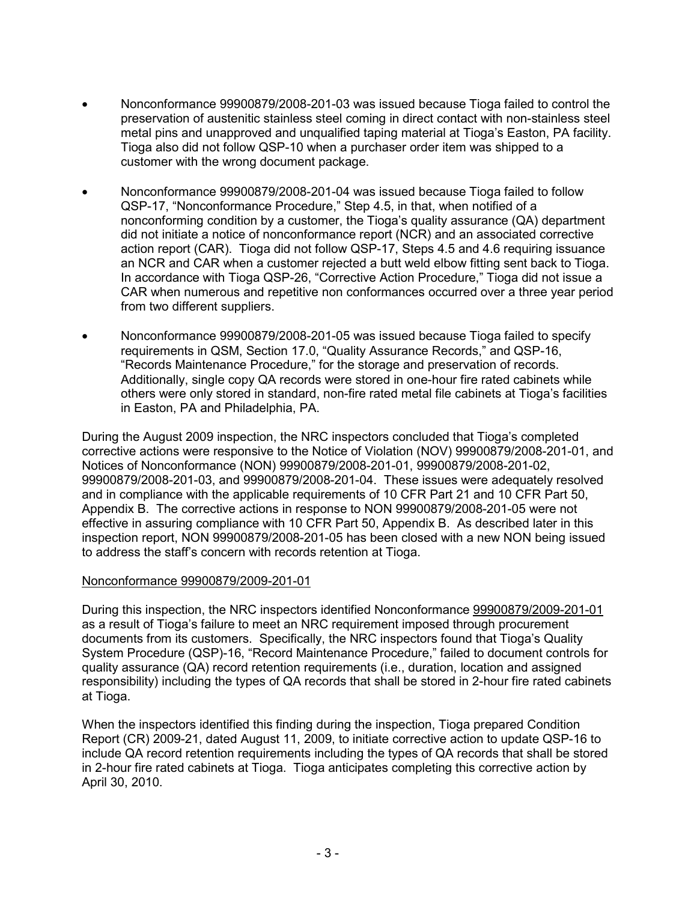- Nonconformance 99900879/2008-201-03 was issued because Tioga failed to control the preservation of austenitic stainless steel coming in direct contact with non-stainless steel metal pins and unapproved and unqualified taping material at Tioga's Easton, PA facility. Tioga also did not follow QSP-10 when a purchaser order item was shipped to a customer with the wrong document package.
- Nonconformance 99900879/2008-201-04 was issued because Tioga failed to follow QSP-17, "Nonconformance Procedure," Step 4.5, in that, when notified of a nonconforming condition by a customer, the Tioga's quality assurance (QA) department did not initiate a notice of nonconformance report (NCR) and an associated corrective action report (CAR). Tioga did not follow QSP-17, Steps 4.5 and 4.6 requiring issuance an NCR and CAR when a customer rejected a butt weld elbow fitting sent back to Tioga. In accordance with Tioga QSP-26, "Corrective Action Procedure," Tioga did not issue a CAR when numerous and repetitive non conformances occurred over a three year period from two different suppliers.
- Nonconformance 99900879/2008-201-05 was issued because Tioga failed to specify requirements in QSM, Section 17.0, "Quality Assurance Records," and QSP-16, "Records Maintenance Procedure," for the storage and preservation of records. Additionally, single copy QA records were stored in one-hour fire rated cabinets while others were only stored in standard, non-fire rated metal file cabinets at Tioga's facilities in Easton, PA and Philadelphia, PA.

During the August 2009 inspection, the NRC inspectors concluded that Tioga's completed corrective actions were responsive to the Notice of Violation (NOV) 99900879/2008-201-01, and Notices of Nonconformance (NON) 99900879/2008-201-01, 99900879/2008-201-02, 99900879/2008-201-03, and 99900879/2008-201-04. These issues were adequately resolved and in compliance with the applicable requirements of 10 CFR Part 21 and 10 CFR Part 50, Appendix B. The corrective actions in response to NON 99900879/2008-201-05 were not effective in assuring compliance with 10 CFR Part 50, Appendix B. As described later in this inspection report, NON 99900879/2008-201-05 has been closed with a new NON being issued to address the staff's concern with records retention at Tioga.

## Nonconformance 99900879/2009-201-01

During this inspection, the NRC inspectors identified Nonconformance 99900879/2009-201-01 as a result of Tioga's failure to meet an NRC requirement imposed through procurement documents from its customers. Specifically, the NRC inspectors found that Tioga's Quality System Procedure (QSP)-16, "Record Maintenance Procedure," failed to document controls for quality assurance (QA) record retention requirements (i.e., duration, location and assigned responsibility) including the types of QA records that shall be stored in 2-hour fire rated cabinets at Tioga.

When the inspectors identified this finding during the inspection, Tioga prepared Condition Report (CR) 2009-21, dated August 11, 2009, to initiate corrective action to update QSP-16 to include QA record retention requirements including the types of QA records that shall be stored in 2-hour fire rated cabinets at Tioga. Tioga anticipates completing this corrective action by April 30, 2010.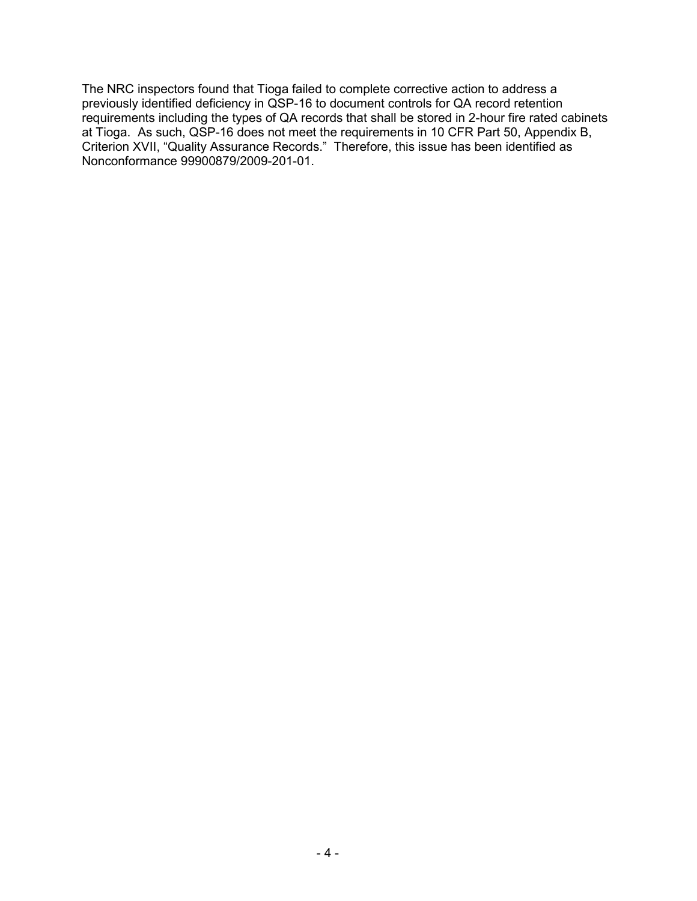The NRC inspectors found that Tioga failed to complete corrective action to address a previously identified deficiency in QSP-16 to document controls for QA record retention requirements including the types of QA records that shall be stored in 2-hour fire rated cabinets at Tioga. As such, QSP-16 does not meet the requirements in 10 CFR Part 50, Appendix B, Criterion XVII, "Quality Assurance Records." Therefore, this issue has been identified as Nonconformance 99900879/2009-201-01.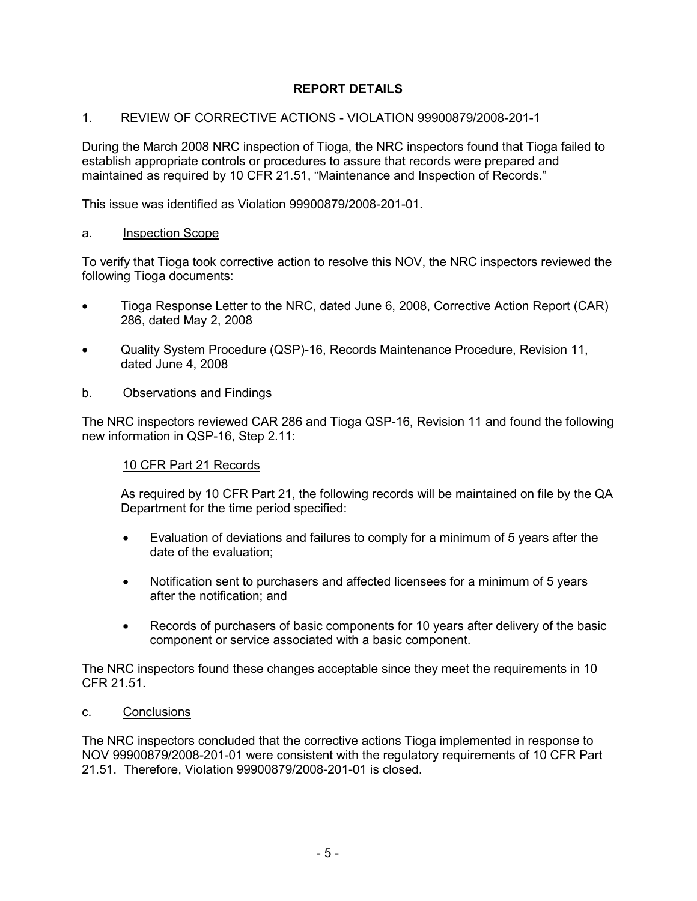## **REPORT DETAILS**

## 1. REVIEW OF CORRECTIVE ACTIONS - VIOLATION 99900879/2008-201-1

During the March 2008 NRC inspection of Tioga, the NRC inspectors found that Tioga failed to establish appropriate controls or procedures to assure that records were prepared and maintained as required by 10 CFR 21.51, "Maintenance and Inspection of Records."

This issue was identified as Violation 99900879/2008-201-01.

#### a. Inspection Scope

To verify that Tioga took corrective action to resolve this NOV, the NRC inspectors reviewed the following Tioga documents:

- Tioga Response Letter to the NRC, dated June 6, 2008, Corrective Action Report (CAR) 286, dated May 2, 2008
- Quality System Procedure (QSP)-16, Records Maintenance Procedure, Revision 11, dated June 4, 2008

#### b. Observations and Findings

The NRC inspectors reviewed CAR 286 and Tioga QSP-16, Revision 11 and found the following new information in QSP-16, Step 2.11:

#### 10 CFR Part 21 Records

As required by 10 CFR Part 21, the following records will be maintained on file by the QA Department for the time period specified:

- Evaluation of deviations and failures to comply for a minimum of 5 years after the date of the evaluation;
- Notification sent to purchasers and affected licensees for a minimum of 5 years after the notification; and
- Records of purchasers of basic components for 10 years after delivery of the basic component or service associated with a basic component.

The NRC inspectors found these changes acceptable since they meet the requirements in 10 CFR 21.51.

c. Conclusions

The NRC inspectors concluded that the corrective actions Tioga implemented in response to NOV 99900879/2008-201-01 were consistent with the regulatory requirements of 10 CFR Part 21.51. Therefore, Violation 99900879/2008-201-01 is closed.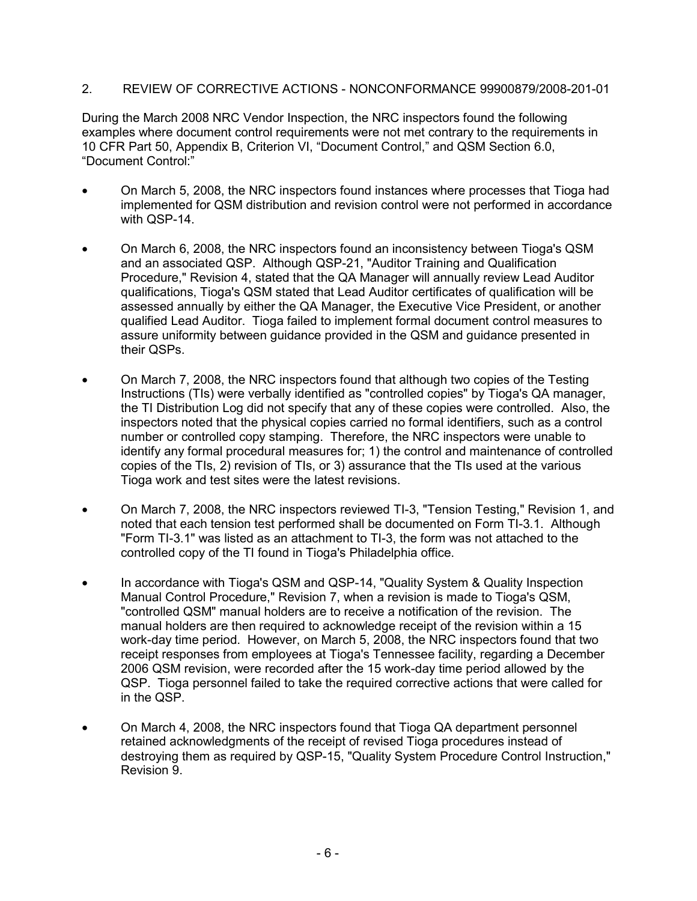2. REVIEW OF CORRECTIVE ACTIONS - NONCONFORMANCE 99900879/2008-201-01

During the March 2008 NRC Vendor Inspection, the NRC inspectors found the following examples where document control requirements were not met contrary to the requirements in 10 CFR Part 50, Appendix B, Criterion VI, "Document Control," and QSM Section 6.0, "Document Control:"

- On March 5, 2008, the NRC inspectors found instances where processes that Tioga had implemented for QSM distribution and revision control were not performed in accordance with QSP-14.
- On March 6, 2008, the NRC inspectors found an inconsistency between Tioga's QSM and an associated QSP. Although QSP-21, "Auditor Training and Qualification Procedure," Revision 4, stated that the QA Manager will annually review Lead Auditor qualifications, Tioga's QSM stated that Lead Auditor certificates of qualification will be assessed annually by either the QA Manager, the Executive Vice President, or another qualified Lead Auditor. Tioga failed to implement formal document control measures to assure uniformity between guidance provided in the QSM and guidance presented in their QSPs.
- On March 7, 2008, the NRC inspectors found that although two copies of the Testing Instructions (TIs) were verbally identified as "controlled copies" by Tioga's QA manager, the TI Distribution Log did not specify that any of these copies were controlled. Also, the inspectors noted that the physical copies carried no formal identifiers, such as a control number or controlled copy stamping. Therefore, the NRC inspectors were unable to identify any formal procedural measures for; 1) the control and maintenance of controlled copies of the TIs, 2) revision of TIs, or 3) assurance that the TIs used at the various Tioga work and test sites were the latest revisions.
- On March 7, 2008, the NRC inspectors reviewed TI-3, "Tension Testing," Revision 1, and noted that each tension test performed shall be documented on Form TI-3.1. Although "Form TI-3.1" was listed as an attachment to TI-3, the form was not attached to the controlled copy of the TI found in Tioga's Philadelphia office.
- In accordance with Tioga's QSM and QSP-14, "Quality System & Quality Inspection Manual Control Procedure," Revision 7, when a revision is made to Tioga's QSM, "controlled QSM" manual holders are to receive a notification of the revision. The manual holders are then required to acknowledge receipt of the revision within a 15 work-day time period. However, on March 5, 2008, the NRC inspectors found that two receipt responses from employees at Tioga's Tennessee facility, regarding a December 2006 QSM revision, were recorded after the 15 work-day time period allowed by the QSP. Tioga personnel failed to take the required corrective actions that were called for in the QSP.
- On March 4, 2008, the NRC inspectors found that Tioga QA department personnel retained acknowledgments of the receipt of revised Tioga procedures instead of destroying them as required by QSP-15, "Quality System Procedure Control Instruction," Revision 9.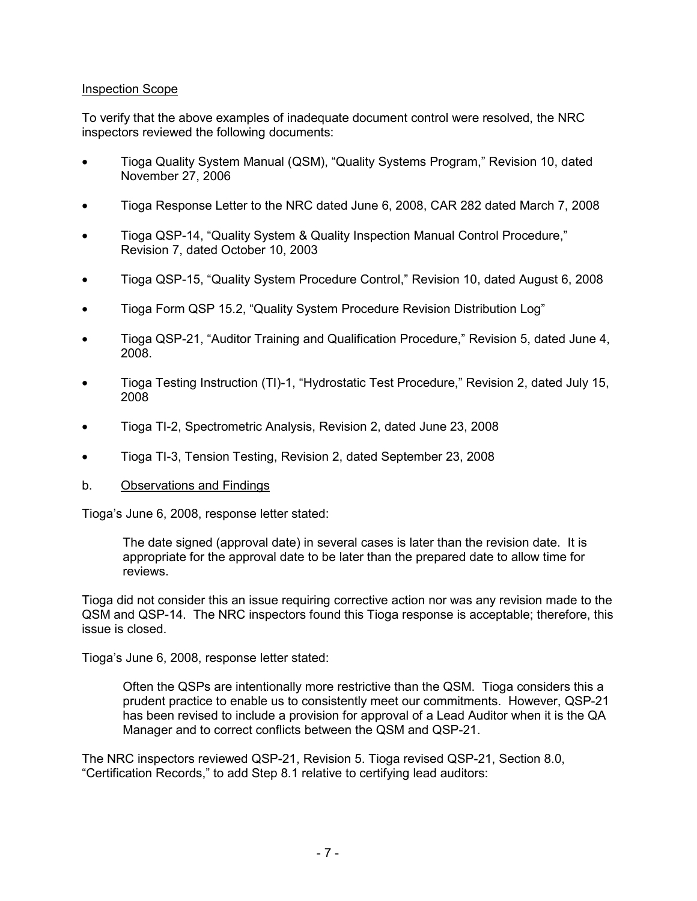#### Inspection Scope

To verify that the above examples of inadequate document control were resolved, the NRC inspectors reviewed the following documents:

- Tioga Quality System Manual (QSM), "Quality Systems Program," Revision 10, dated November 27, 2006
- Tioga Response Letter to the NRC dated June 6, 2008, CAR 282 dated March 7, 2008
- Tioga QSP-14, "Quality System & Quality Inspection Manual Control Procedure," Revision 7, dated October 10, 2003
- Tioga QSP-15, "Quality System Procedure Control," Revision 10, dated August 6, 2008
- Tioga Form QSP 15.2, "Quality System Procedure Revision Distribution Log"
- Tioga QSP-21, "Auditor Training and Qualification Procedure," Revision 5, dated June 4, 2008.
- Tioga Testing Instruction (TI)-1, "Hydrostatic Test Procedure," Revision 2, dated July 15, 2008
- Tioga TI-2, Spectrometric Analysis, Revision 2, dated June 23, 2008
- Tioga TI-3, Tension Testing, Revision 2, dated September 23, 2008
- b. Observations and Findings

Tioga's June 6, 2008, response letter stated:

The date signed (approval date) in several cases is later than the revision date. It is appropriate for the approval date to be later than the prepared date to allow time for reviews.

Tioga did not consider this an issue requiring corrective action nor was any revision made to the QSM and QSP-14. The NRC inspectors found this Tioga response is acceptable; therefore, this issue is closed.

Tioga's June 6, 2008, response letter stated:

Often the QSPs are intentionally more restrictive than the QSM. Tioga considers this a prudent practice to enable us to consistently meet our commitments. However, QSP-21 has been revised to include a provision for approval of a Lead Auditor when it is the QA Manager and to correct conflicts between the QSM and QSP-21.

The NRC inspectors reviewed QSP-21, Revision 5. Tioga revised QSP-21, Section 8.0, "Certification Records," to add Step 8.1 relative to certifying lead auditors: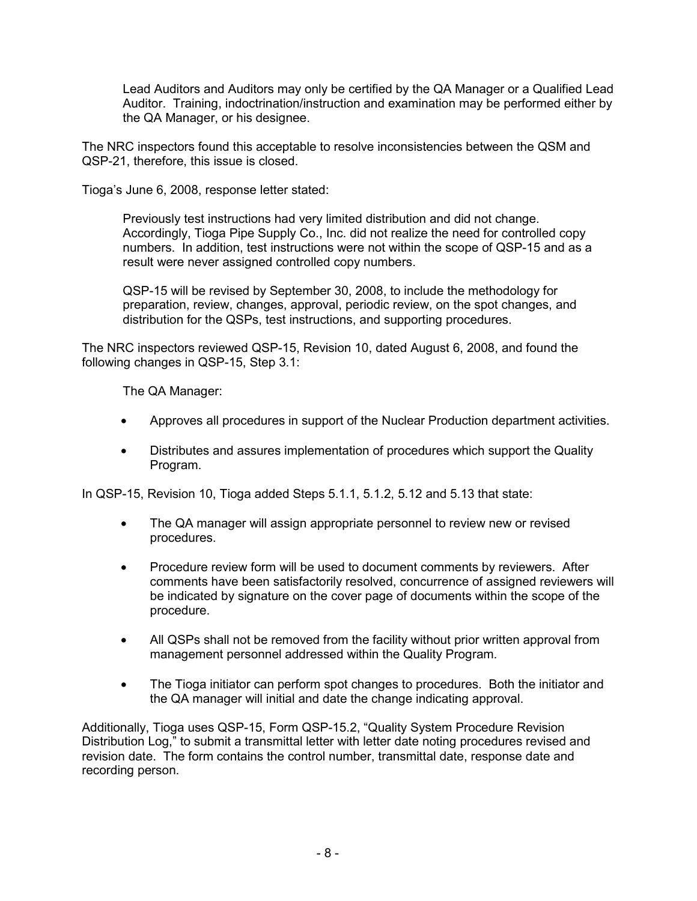Lead Auditors and Auditors may only be certified by the QA Manager or a Qualified Lead Auditor. Training, indoctrination/instruction and examination may be performed either by the QA Manager, or his designee.

The NRC inspectors found this acceptable to resolve inconsistencies between the QSM and QSP-21, therefore, this issue is closed.

Tioga's June 6, 2008, response letter stated:

Previously test instructions had very limited distribution and did not change. Accordingly, Tioga Pipe Supply Co., Inc. did not realize the need for controlled copy numbers. In addition, test instructions were not within the scope of QSP-15 and as a result were never assigned controlled copy numbers.

QSP-15 will be revised by September 30, 2008, to include the methodology for preparation, review, changes, approval, periodic review, on the spot changes, and distribution for the QSPs, test instructions, and supporting procedures.

The NRC inspectors reviewed QSP-15, Revision 10, dated August 6, 2008, and found the following changes in QSP-15, Step 3.1:

The QA Manager:

- Approves all procedures in support of the Nuclear Production department activities.
- Distributes and assures implementation of procedures which support the Quality Program.

In QSP-15, Revision 10, Tioga added Steps 5.1.1, 5.1.2, 5.12 and 5.13 that state:

- The QA manager will assign appropriate personnel to review new or revised procedures.
- Procedure review form will be used to document comments by reviewers. After comments have been satisfactorily resolved, concurrence of assigned reviewers will be indicated by signature on the cover page of documents within the scope of the procedure.
- All QSPs shall not be removed from the facility without prior written approval from management personnel addressed within the Quality Program.
- The Tioga initiator can perform spot changes to procedures. Both the initiator and the QA manager will initial and date the change indicating approval.

Additionally, Tioga uses QSP-15, Form QSP-15.2, "Quality System Procedure Revision Distribution Log," to submit a transmittal letter with letter date noting procedures revised and revision date. The form contains the control number, transmittal date, response date and recording person.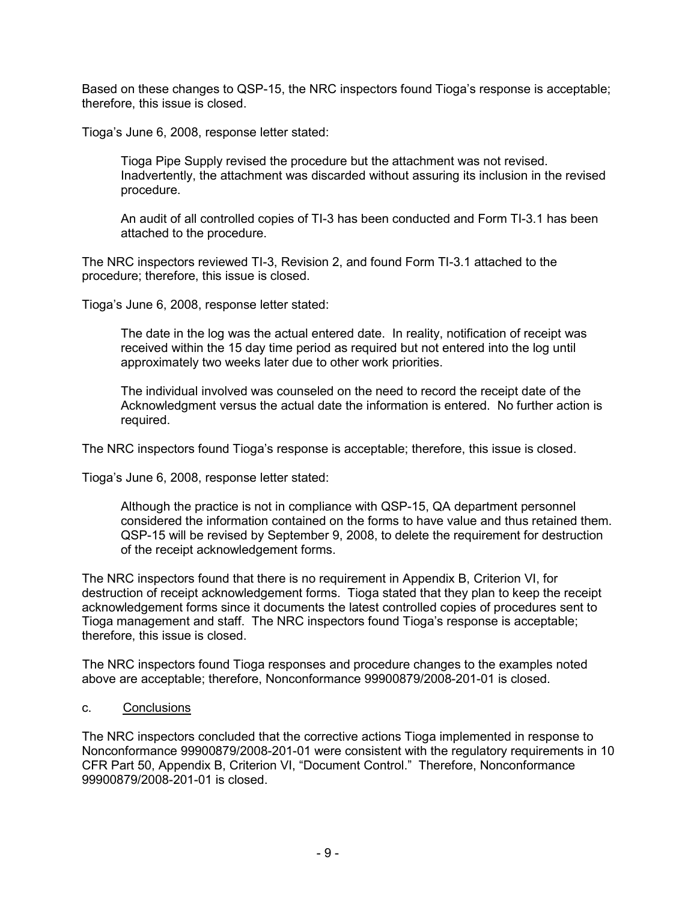Based on these changes to QSP-15, the NRC inspectors found Tioga's response is acceptable; therefore, this issue is closed.

Tioga's June 6, 2008, response letter stated:

Tioga Pipe Supply revised the procedure but the attachment was not revised. Inadvertently, the attachment was discarded without assuring its inclusion in the revised procedure.

An audit of all controlled copies of TI-3 has been conducted and Form TI-3.1 has been attached to the procedure.

The NRC inspectors reviewed TI-3, Revision 2, and found Form TI-3.1 attached to the procedure; therefore, this issue is closed.

Tioga's June 6, 2008, response letter stated:

The date in the log was the actual entered date. In reality, notification of receipt was received within the 15 day time period as required but not entered into the log until approximately two weeks later due to other work priorities.

The individual involved was counseled on the need to record the receipt date of the Acknowledgment versus the actual date the information is entered. No further action is required.

The NRC inspectors found Tioga's response is acceptable; therefore, this issue is closed.

Tioga's June 6, 2008, response letter stated:

Although the practice is not in compliance with QSP-15, QA department personnel considered the information contained on the forms to have value and thus retained them. QSP-15 will be revised by September 9, 2008, to delete the requirement for destruction of the receipt acknowledgement forms.

The NRC inspectors found that there is no requirement in Appendix B, Criterion VI, for destruction of receipt acknowledgement forms. Tioga stated that they plan to keep the receipt acknowledgement forms since it documents the latest controlled copies of procedures sent to Tioga management and staff. The NRC inspectors found Tioga's response is acceptable; therefore, this issue is closed.

The NRC inspectors found Tioga responses and procedure changes to the examples noted above are acceptable; therefore, Nonconformance 99900879/2008-201-01 is closed.

c. Conclusions

The NRC inspectors concluded that the corrective actions Tioga implemented in response to Nonconformance 99900879/2008-201-01 were consistent with the regulatory requirements in 10 CFR Part 50, Appendix B, Criterion VI, "Document Control." Therefore, Nonconformance 99900879/2008-201-01 is closed.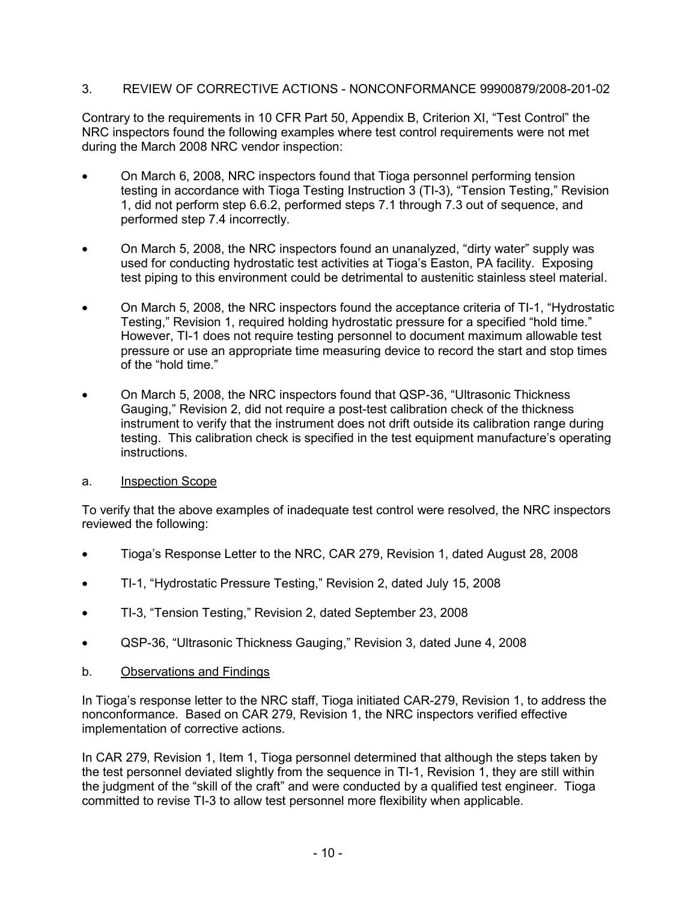## 3. REVIEW OF CORRECTIVE ACTIONS - NONCONFORMANCE 99900879/2008-201-02

Contrary to the requirements in 10 CFR Part 50, Appendix B, Criterion XI, "Test Control" the NRC inspectors found the following examples where test control requirements were not met during the March 2008 NRC vendor inspection:

- On March 6, 2008, NRC inspectors found that Tioga personnel performing tension testing in accordance with Tioga Testing Instruction 3 (TI-3), "Tension Testing," Revision 1, did not perform step 6.6.2, performed steps 7.1 through 7.3 out of sequence, and performed step 7.4 incorrectly.
- On March 5, 2008, the NRC inspectors found an unanalyzed, "dirty water" supply was used for conducting hydrostatic test activities at Tioga's Easton, PA facility. Exposing test piping to this environment could be detrimental to austenitic stainless steel material.
- On March 5, 2008, the NRC inspectors found the acceptance criteria of TI-1, "Hydrostatic Testing," Revision 1, required holding hydrostatic pressure for a specified "hold time." However, TI-1 does not require testing personnel to document maximum allowable test pressure or use an appropriate time measuring device to record the start and stop times of the "hold time."
- On March 5, 2008, the NRC inspectors found that QSP-36, "Ultrasonic Thickness Gauging," Revision 2, did not require a post-test calibration check of the thickness instrument to verify that the instrument does not drift outside its calibration range during testing. This calibration check is specified in the test equipment manufacture's operating instructions.

## a. Inspection Scope

To verify that the above examples of inadequate test control were resolved, the NRC inspectors reviewed the following:

- Tioga's Response Letter to the NRC, CAR 279, Revision 1, dated August 28, 2008
- TI-1, "Hydrostatic Pressure Testing," Revision 2, dated July 15, 2008
- TI-3, "Tension Testing," Revision 2, dated September 23, 2008
- QSP-36, "Ultrasonic Thickness Gauging," Revision 3, dated June 4, 2008
- b. Observations and Findings

In Tioga's response letter to the NRC staff, Tioga initiated CAR-279, Revision 1, to address the nonconformance. Based on CAR 279, Revision 1, the NRC inspectors verified effective implementation of corrective actions.

In CAR 279, Revision 1, Item 1, Tioga personnel determined that although the steps taken by the test personnel deviated slightly from the sequence in TI-1, Revision 1, they are still within the judgment of the "skill of the craft" and were conducted by a qualified test engineer. Tioga committed to revise TI-3 to allow test personnel more flexibility when applicable.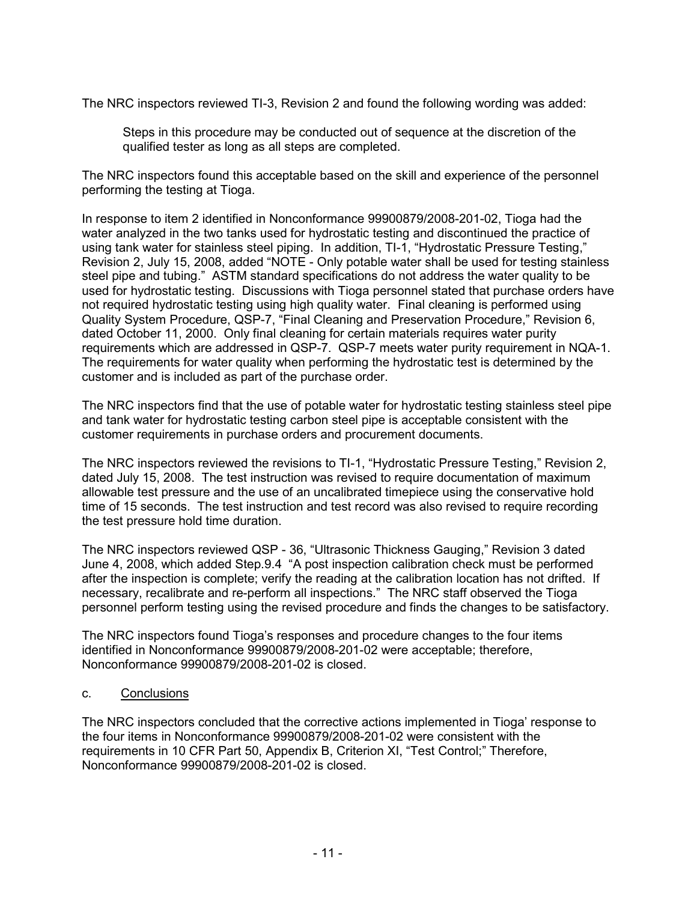The NRC inspectors reviewed TI-3, Revision 2 and found the following wording was added:

Steps in this procedure may be conducted out of sequence at the discretion of the qualified tester as long as all steps are completed.

The NRC inspectors found this acceptable based on the skill and experience of the personnel performing the testing at Tioga.

In response to item 2 identified in Nonconformance 99900879/2008-201-02, Tioga had the water analyzed in the two tanks used for hydrostatic testing and discontinued the practice of using tank water for stainless steel piping. In addition, TI-1, "Hydrostatic Pressure Testing," Revision 2, July 15, 2008, added "NOTE - Only potable water shall be used for testing stainless steel pipe and tubing." ASTM standard specifications do not address the water quality to be used for hydrostatic testing. Discussions with Tioga personnel stated that purchase orders have not required hydrostatic testing using high quality water. Final cleaning is performed using Quality System Procedure, QSP-7, "Final Cleaning and Preservation Procedure," Revision 6, dated October 11, 2000. Only final cleaning for certain materials requires water purity requirements which are addressed in QSP-7. QSP-7 meets water purity requirement in NQA-1. The requirements for water quality when performing the hydrostatic test is determined by the customer and is included as part of the purchase order.

The NRC inspectors find that the use of potable water for hydrostatic testing stainless steel pipe and tank water for hydrostatic testing carbon steel pipe is acceptable consistent with the customer requirements in purchase orders and procurement documents.

The NRC inspectors reviewed the revisions to TI-1, "Hydrostatic Pressure Testing," Revision 2, dated July 15, 2008. The test instruction was revised to require documentation of maximum allowable test pressure and the use of an uncalibrated timepiece using the conservative hold time of 15 seconds. The test instruction and test record was also revised to require recording the test pressure hold time duration.

The NRC inspectors reviewed QSP - 36, "Ultrasonic Thickness Gauging," Revision 3 dated June 4, 2008, which added Step.9.4 "A post inspection calibration check must be performed after the inspection is complete; verify the reading at the calibration location has not drifted. If necessary, recalibrate and re-perform all inspections." The NRC staff observed the Tioga personnel perform testing using the revised procedure and finds the changes to be satisfactory.

The NRC inspectors found Tioga's responses and procedure changes to the four items identified in Nonconformance 99900879/2008-201-02 were acceptable; therefore, Nonconformance 99900879/2008-201-02 is closed.

## c. Conclusions

The NRC inspectors concluded that the corrective actions implemented in Tioga' response to the four items in Nonconformance 99900879/2008-201-02 were consistent with the requirements in 10 CFR Part 50, Appendix B, Criterion XI, "Test Control;" Therefore, Nonconformance 99900879/2008-201-02 is closed.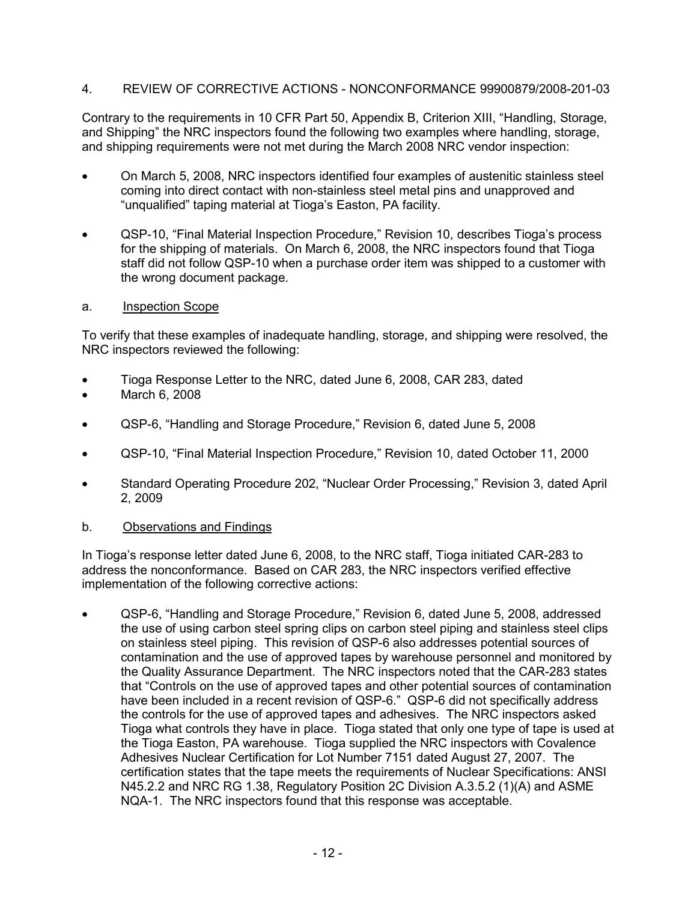## 4. REVIEW OF CORRECTIVE ACTIONS - NONCONFORMANCE 99900879/2008-201-03

Contrary to the requirements in 10 CFR Part 50, Appendix B, Criterion XIII, "Handling, Storage, and Shipping" the NRC inspectors found the following two examples where handling, storage, and shipping requirements were not met during the March 2008 NRC vendor inspection:

- On March 5, 2008, NRC inspectors identified four examples of austenitic stainless steel coming into direct contact with non-stainless steel metal pins and unapproved and "unqualified" taping material at Tioga's Easton, PA facility.
- QSP-10, "Final Material Inspection Procedure," Revision 10, describes Tioga's process for the shipping of materials. On March 6, 2008, the NRC inspectors found that Tioga staff did not follow QSP-10 when a purchase order item was shipped to a customer with the wrong document package.
- a. Inspection Scope

To verify that these examples of inadequate handling, storage, and shipping were resolved, the NRC inspectors reviewed the following:

- Tioga Response Letter to the NRC, dated June 6, 2008, CAR 283, dated
- March 6, 2008
- QSP-6, "Handling and Storage Procedure," Revision 6, dated June 5, 2008
- QSP-10, "Final Material Inspection Procedure," Revision 10, dated October 11, 2000
- Standard Operating Procedure 202, "Nuclear Order Processing," Revision 3, dated April 2, 2009
- b. Observations and Findings

In Tioga's response letter dated June 6, 2008, to the NRC staff, Tioga initiated CAR-283 to address the nonconformance. Based on CAR 283, the NRC inspectors verified effective implementation of the following corrective actions:

• QSP-6, "Handling and Storage Procedure," Revision 6, dated June 5, 2008, addressed the use of using carbon steel spring clips on carbon steel piping and stainless steel clips on stainless steel piping. This revision of QSP-6 also addresses potential sources of contamination and the use of approved tapes by warehouse personnel and monitored by the Quality Assurance Department. The NRC inspectors noted that the CAR-283 states that "Controls on the use of approved tapes and other potential sources of contamination have been included in a recent revision of QSP-6." QSP-6 did not specifically address the controls for the use of approved tapes and adhesives. The NRC inspectors asked Tioga what controls they have in place. Tioga stated that only one type of tape is used at the Tioga Easton, PA warehouse. Tioga supplied the NRC inspectors with Covalence Adhesives Nuclear Certification for Lot Number 7151 dated August 27, 2007. The certification states that the tape meets the requirements of Nuclear Specifications: ANSI N45.2.2 and NRC RG 1.38, Regulatory Position 2C Division A.3.5.2 (1)(A) and ASME NQA-1. The NRC inspectors found that this response was acceptable.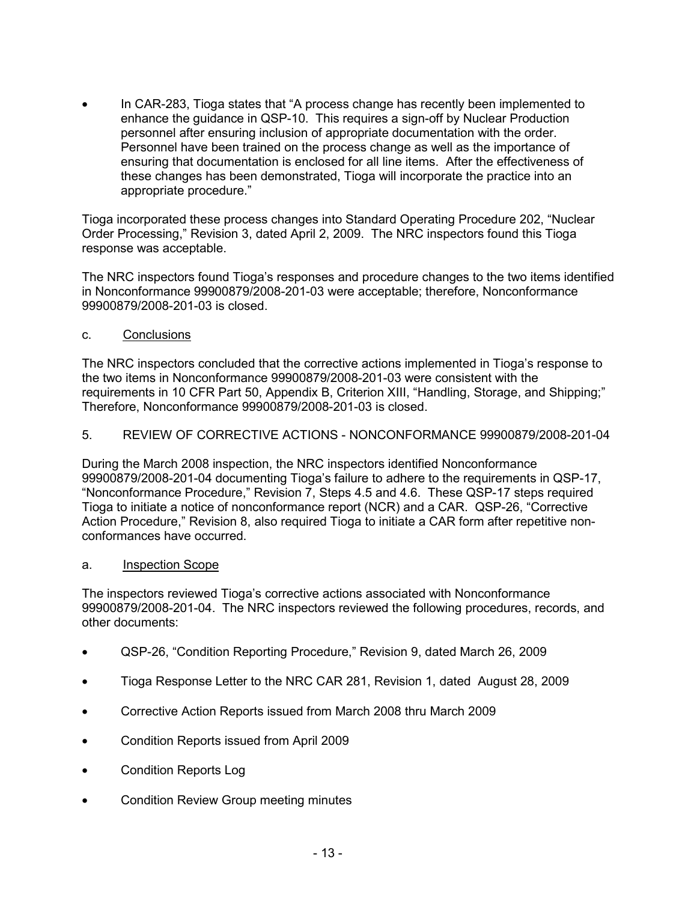• In CAR-283, Tioga states that "A process change has recently been implemented to enhance the guidance in QSP-10. This requires a sign-off by Nuclear Production personnel after ensuring inclusion of appropriate documentation with the order. Personnel have been trained on the process change as well as the importance of ensuring that documentation is enclosed for all line items. After the effectiveness of these changes has been demonstrated, Tioga will incorporate the practice into an appropriate procedure."

Tioga incorporated these process changes into Standard Operating Procedure 202, "Nuclear Order Processing," Revision 3, dated April 2, 2009. The NRC inspectors found this Tioga response was acceptable.

The NRC inspectors found Tioga's responses and procedure changes to the two items identified in Nonconformance 99900879/2008-201-03 were acceptable; therefore, Nonconformance 99900879/2008-201-03 is closed.

c. Conclusions

The NRC inspectors concluded that the corrective actions implemented in Tioga's response to the two items in Nonconformance 99900879/2008-201-03 were consistent with the requirements in 10 CFR Part 50, Appendix B, Criterion XIII, "Handling, Storage, and Shipping;" Therefore, Nonconformance 99900879/2008-201-03 is closed.

5. REVIEW OF CORRECTIVE ACTIONS - NONCONFORMANCE 99900879/2008-201-04

During the March 2008 inspection, the NRC inspectors identified Nonconformance 99900879/2008-201-04 documenting Tioga's failure to adhere to the requirements in QSP-17, "Nonconformance Procedure," Revision 7, Steps 4.5 and 4.6. These QSP-17 steps required Tioga to initiate a notice of nonconformance report (NCR) and a CAR. QSP-26, "Corrective Action Procedure," Revision 8, also required Tioga to initiate a CAR form after repetitive nonconformances have occurred.

a. Inspection Scope

The inspectors reviewed Tioga's corrective actions associated with Nonconformance 99900879/2008-201-04. The NRC inspectors reviewed the following procedures, records, and other documents:

- QSP-26, "Condition Reporting Procedure," Revision 9, dated March 26, 2009
- Tioga Response Letter to the NRC CAR 281, Revision 1, dated August 28, 2009
- Corrective Action Reports issued from March 2008 thru March 2009
- Condition Reports issued from April 2009
- Condition Reports Log
- Condition Review Group meeting minutes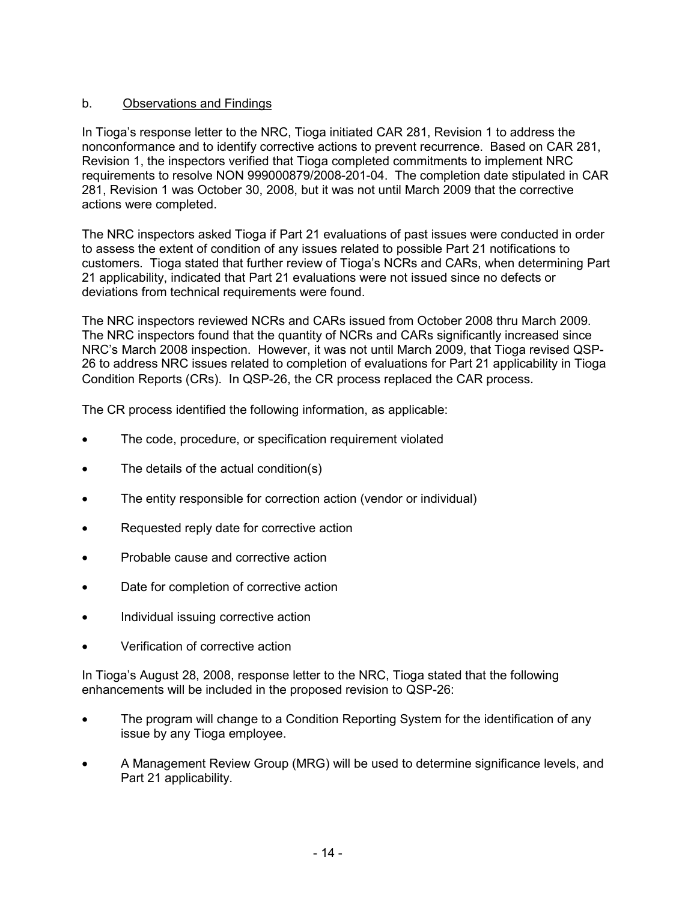# b. Observations and Findings

In Tioga's response letter to the NRC, Tioga initiated CAR 281, Revision 1 to address the nonconformance and to identify corrective actions to prevent recurrence. Based on CAR 281, Revision 1, the inspectors verified that Tioga completed commitments to implement NRC requirements to resolve NON 999000879/2008-201-04. The completion date stipulated in CAR 281, Revision 1 was October 30, 2008, but it was not until March 2009 that the corrective actions were completed.

The NRC inspectors asked Tioga if Part 21 evaluations of past issues were conducted in order to assess the extent of condition of any issues related to possible Part 21 notifications to customers. Tioga stated that further review of Tioga's NCRs and CARs, when determining Part 21 applicability, indicated that Part 21 evaluations were not issued since no defects or deviations from technical requirements were found.

The NRC inspectors reviewed NCRs and CARs issued from October 2008 thru March 2009. The NRC inspectors found that the quantity of NCRs and CARs significantly increased since NRC's March 2008 inspection. However, it was not until March 2009, that Tioga revised QSP-26 to address NRC issues related to completion of evaluations for Part 21 applicability in Tioga Condition Reports (CRs). In QSP-26, the CR process replaced the CAR process*.* 

The CR process identified the following information, as applicable:

- The code, procedure, or specification requirement violated
- The details of the actual condition(s)
- The entity responsible for correction action (vendor or individual)
- Requested reply date for corrective action
- Probable cause and corrective action
- Date for completion of corrective action
- Individual issuing corrective action
- Verification of corrective action

In Tioga's August 28, 2008, response letter to the NRC, Tioga stated that the following enhancements will be included in the proposed revision to QSP-26:

- The program will change to a Condition Reporting System for the identification of any issue by any Tioga employee.
- A Management Review Group (MRG) will be used to determine significance levels, and Part 21 applicability.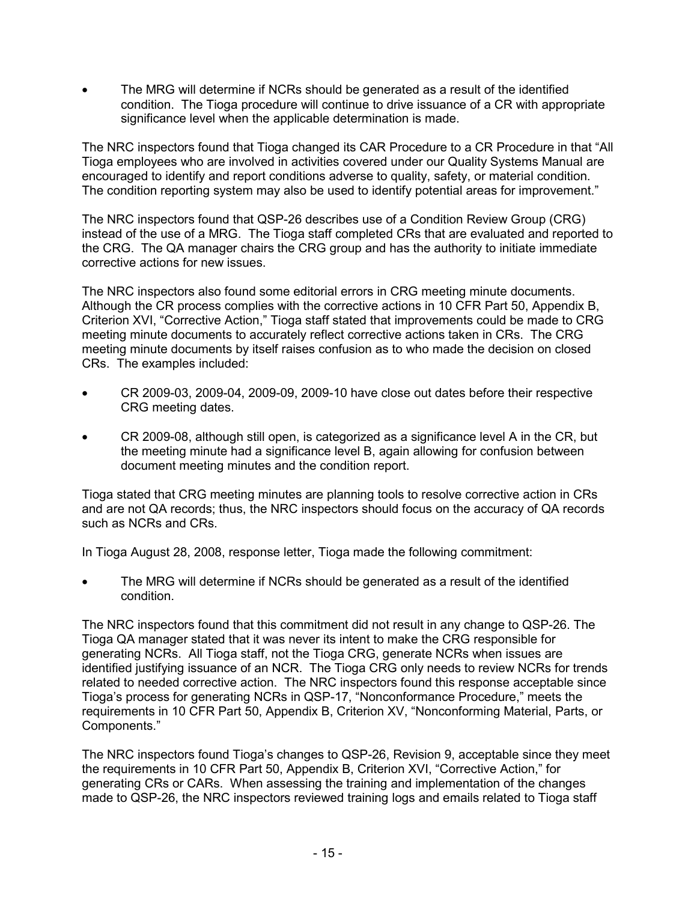• The MRG will determine if NCRs should be generated as a result of the identified condition. The Tioga procedure will continue to drive issuance of a CR with appropriate significance level when the applicable determination is made.

The NRC inspectors found that Tioga changed its CAR Procedure to a CR Procedure in that "All Tioga employees who are involved in activities covered under our Quality Systems Manual are encouraged to identify and report conditions adverse to quality, safety, or material condition. The condition reporting system may also be used to identify potential areas for improvement."

The NRC inspectors found that QSP-26 describes use of a Condition Review Group (CRG) instead of the use of a MRG. The Tioga staff completed CRs that are evaluated and reported to the CRG. The QA manager chairs the CRG group and has the authority to initiate immediate corrective actions for new issues.

The NRC inspectors also found some editorial errors in CRG meeting minute documents. Although the CR process complies with the corrective actions in 10 CFR Part 50, Appendix B, Criterion XVI, "Corrective Action," Tioga staff stated that improvements could be made to CRG meeting minute documents to accurately reflect corrective actions taken in CRs. The CRG meeting minute documents by itself raises confusion as to who made the decision on closed CRs. The examples included:

- CR 2009-03, 2009-04, 2009-09, 2009-10 have close out dates before their respective CRG meeting dates.
- CR 2009-08, although still open, is categorized as a significance level A in the CR, but the meeting minute had a significance level B, again allowing for confusion between document meeting minutes and the condition report.

Tioga stated that CRG meeting minutes are planning tools to resolve corrective action in CRs and are not QA records; thus, the NRC inspectors should focus on the accuracy of QA records such as NCRs and CRs.

In Tioga August 28, 2008, response letter, Tioga made the following commitment:

The MRG will determine if NCRs should be generated as a result of the identified condition.

The NRC inspectors found that this commitment did not result in any change to QSP-26. The Tioga QA manager stated that it was never its intent to make the CRG responsible for generating NCRs. All Tioga staff, not the Tioga CRG, generate NCRs when issues are identified justifying issuance of an NCR. The Tioga CRG only needs to review NCRs for trends related to needed corrective action. The NRC inspectors found this response acceptable since Tioga's process for generating NCRs in QSP-17, "Nonconformance Procedure," meets the requirements in 10 CFR Part 50, Appendix B, Criterion XV, "Nonconforming Material, Parts, or Components."

The NRC inspectors found Tioga's changes to QSP-26, Revision 9, acceptable since they meet the requirements in 10 CFR Part 50, Appendix B, Criterion XVI, "Corrective Action," for generating CRs or CARs. When assessing the training and implementation of the changes made to QSP-26, the NRC inspectors reviewed training logs and emails related to Tioga staff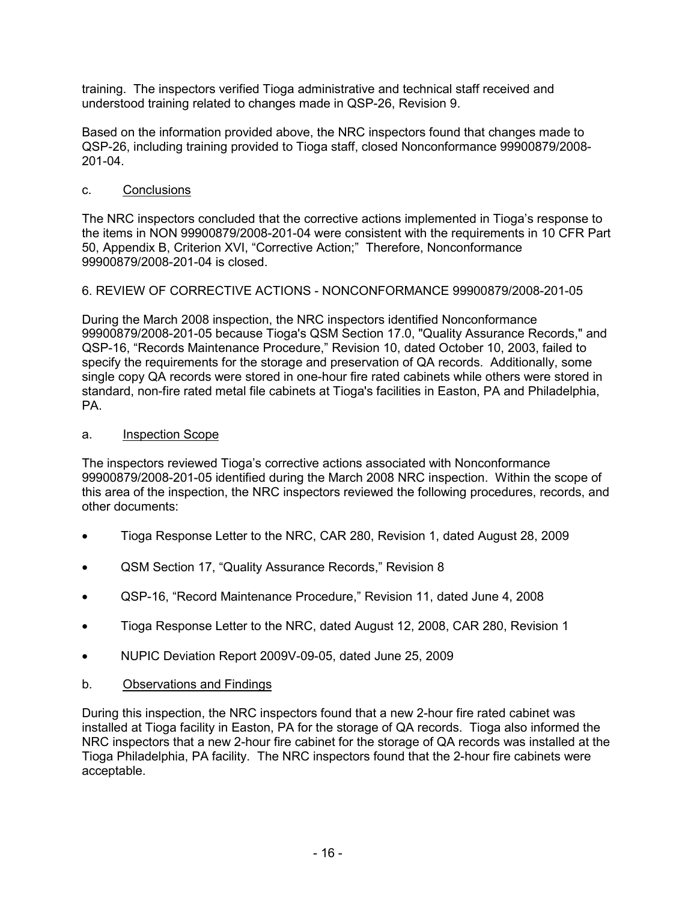training. The inspectors verified Tioga administrative and technical staff received and understood training related to changes made in QSP-26, Revision 9.

Based on the information provided above, the NRC inspectors found that changes made to QSP-26, including training provided to Tioga staff, closed Nonconformance 99900879/2008- 201-04.

## c. Conclusions

The NRC inspectors concluded that the corrective actions implemented in Tioga's response to the items in NON 99900879/2008-201-04 were consistent with the requirements in 10 CFR Part 50, Appendix B, Criterion XVI, "Corrective Action;" Therefore, Nonconformance 99900879/2008-201-04 is closed.

## 6. REVIEW OF CORRECTIVE ACTIONS - NONCONFORMANCE 99900879/2008-201-05

During the March 2008 inspection, the NRC inspectors identified Nonconformance 99900879/2008-201-05 because Tioga's QSM Section 17.0, "Quality Assurance Records," and QSP-16, "Records Maintenance Procedure," Revision 10, dated October 10, 2003, failed to specify the requirements for the storage and preservation of QA records. Additionally, some single copy QA records were stored in one-hour fire rated cabinets while others were stored in standard, non-fire rated metal file cabinets at Tioga's facilities in Easton, PA and Philadelphia, PA.

## a. Inspection Scope

The inspectors reviewed Tioga's corrective actions associated with Nonconformance 99900879/2008-201-05 identified during the March 2008 NRC inspection. Within the scope of this area of the inspection, the NRC inspectors reviewed the following procedures, records, and other documents:

- Tioga Response Letter to the NRC, CAR 280, Revision 1, dated August 28, 2009
- QSM Section 17, "Quality Assurance Records," Revision 8
- QSP-16, "Record Maintenance Procedure," Revision 11, dated June 4, 2008
- Tioga Response Letter to the NRC, dated August 12, 2008, CAR 280, Revision 1
- NUPIC Deviation Report 2009V-09-05, dated June 25, 2009
- b. Observations and Findings

During this inspection, the NRC inspectors found that a new 2-hour fire rated cabinet was installed at Tioga facility in Easton, PA for the storage of QA records. Tioga also informed the NRC inspectors that a new 2-hour fire cabinet for the storage of QA records was installed at the Tioga Philadelphia, PA facility. The NRC inspectors found that the 2-hour fire cabinets were acceptable.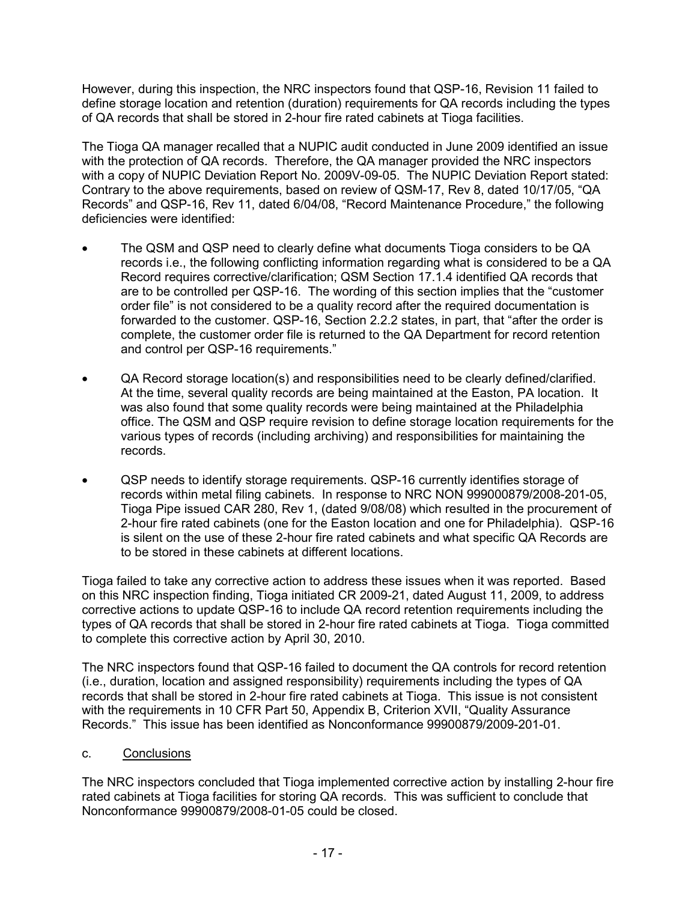However, during this inspection, the NRC inspectors found that QSP-16, Revision 11 failed to define storage location and retention (duration) requirements for QA records including the types of QA records that shall be stored in 2-hour fire rated cabinets at Tioga facilities.

The Tioga QA manager recalled that a NUPIC audit conducted in June 2009 identified an issue with the protection of QA records. Therefore, the QA manager provided the NRC inspectors with a copy of NUPIC Deviation Report No. 2009V-09-05. The NUPIC Deviation Report stated: Contrary to the above requirements, based on review of QSM-17, Rev 8, dated 10/17/05, "QA Records" and QSP-16, Rev 11, dated 6/04/08, "Record Maintenance Procedure," the following deficiencies were identified:

- The QSM and QSP need to clearly define what documents Tioga considers to be QA records i.e., the following conflicting information regarding what is considered to be a QA Record requires corrective/clarification; QSM Section 17.1.4 identified QA records that are to be controlled per QSP-16. The wording of this section implies that the "customer order file" is not considered to be a quality record after the required documentation is forwarded to the customer. QSP-16, Section 2.2.2 states, in part, that "after the order is complete, the customer order file is returned to the QA Department for record retention and control per QSP-16 requirements."
- QA Record storage location(s) and responsibilities need to be clearly defined/clarified. At the time, several quality records are being maintained at the Easton, PA location. It was also found that some quality records were being maintained at the Philadelphia office. The QSM and QSP require revision to define storage location requirements for the various types of records (including archiving) and responsibilities for maintaining the records.
- QSP needs to identify storage requirements. QSP-16 currently identifies storage of records within metal filing cabinets. In response to NRC NON 999000879/2008-201-05, Tioga Pipe issued CAR 280, Rev 1, (dated 9/08/08) which resulted in the procurement of 2-hour fire rated cabinets (one for the Easton location and one for Philadelphia). QSP-16 is silent on the use of these 2-hour fire rated cabinets and what specific QA Records are to be stored in these cabinets at different locations.

Tioga failed to take any corrective action to address these issues when it was reported. Based on this NRC inspection finding, Tioga initiated CR 2009-21, dated August 11, 2009, to address corrective actions to update QSP-16 to include QA record retention requirements including the types of QA records that shall be stored in 2-hour fire rated cabinets at Tioga. Tioga committed to complete this corrective action by April 30, 2010.

The NRC inspectors found that QSP-16 failed to document the QA controls for record retention (i.e., duration, location and assigned responsibility) requirements including the types of QA records that shall be stored in 2-hour fire rated cabinets at Tioga. This issue is not consistent with the requirements in 10 CFR Part 50, Appendix B, Criterion XVII, "Quality Assurance Records." This issue has been identified as Nonconformance 99900879/2009-201-01.

## c. Conclusions

The NRC inspectors concluded that Tioga implemented corrective action by installing 2-hour fire rated cabinets at Tioga facilities for storing QA records. This was sufficient to conclude that Nonconformance 99900879/2008-01-05 could be closed.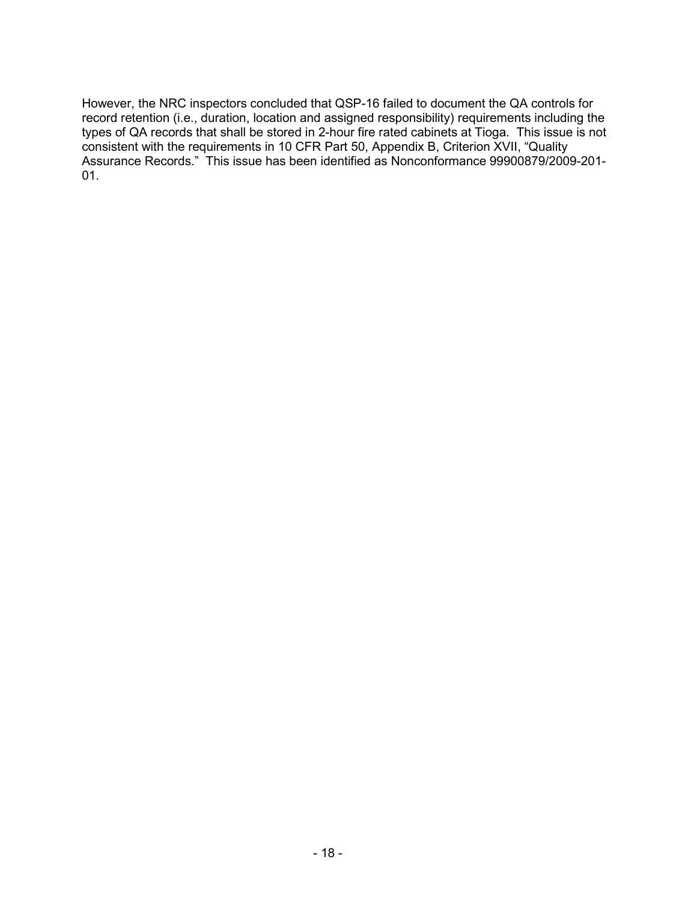However, the NRC inspectors concluded that QSP-16 failed to document the QA controls for record retention (i.e., duration, location and assigned responsibility) requirements including the types of QA records that shall be stored in 2-hour fire rated cabinets at Tioga. This issue is not consistent with the requirements in 10 CFR Part 50, Appendix B, Criterion XVII, "Quality Assurance Records." This issue has been identified as Nonconformance 99900879/2009-201- 01.